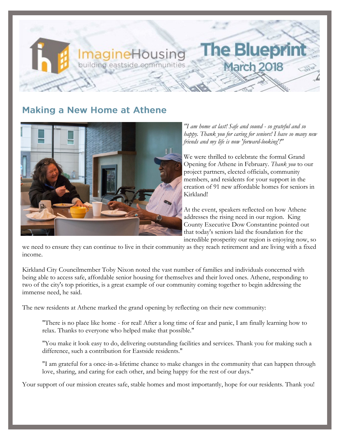## **Making a New Home at Athene**

**ImagineHousing** building eastside communities



*"I am home at last! Safe and sound - so grateful and so happy. Thank you for caring for seniors! I have so many new friends and my life is now 'forward-looking'!"* 

he Bluep

March 201

We were thrilled to celebrate the formal Grand Opening for Athene in February. *Thank you* to our project partners, elected officials, community members, and residents for your support in the creation of 91 new affordable homes for seniors in Kirkland!

At the event, speakers reflected on how Athene addresses the rising need in our region. King County Executive Dow Constantine pointed out that today's seniors laid the foundation for the incredible prosperity our region is enjoying now, so

we need to ensure they can continue to live in their community as they reach retirement and are living with a fixed income.

Kirkland City Councilmember Toby Nixon noted the vast number of families and individuals concerned with being able to access safe, affordable senior housing for themselves and their loved ones. Athene, responding to two of the city's top priorities, is a great example of our community coming together to begin addressing the immense need, he said.

The new residents at Athene marked the grand opening by reflecting on their new community:

"There is no place like home - for real! After a long time of fear and panic, I am finally learning how to relax. Thanks to everyone who helped make that possible."

"You make it look easy to do, delivering outstanding facilities and services. Thank you for making such a difference, such a contribution for Eastside residents."

"I am grateful for a once-in-a-lifetime chance to make changes in the community that can happen through love, sharing, and caring for each other, and being happy for the rest of our days."

Your support of our mission creates safe, stable homes and most importantly, hope for our residents. Thank you!